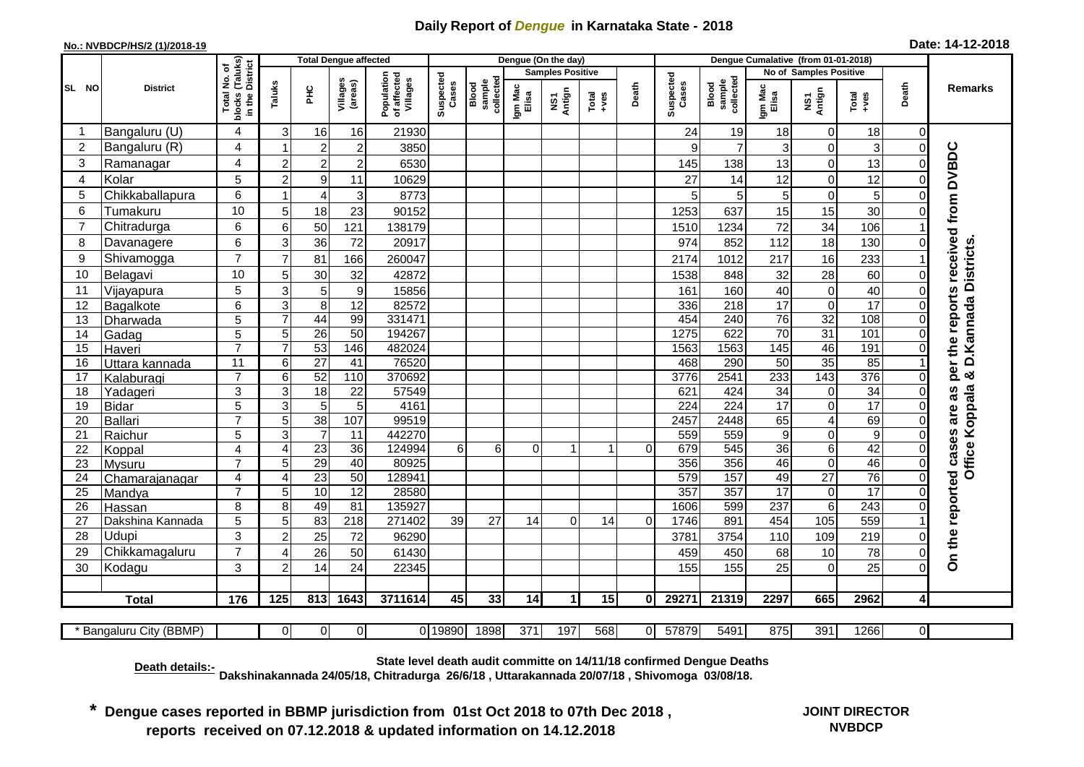## **Daily Report of** *Dengue* **in Karnataka State - 2018**

## **No.: NVBDCP/HS/2 (1)/2018-19**

| Date: 14-12-2018 |
|------------------|
|------------------|

|                 |                         |                                                 |                     | <b>Total Dengue affected</b> |                     |                                       |                    |                              |                         | Dengue (On the day) |               |          |                    |                              |                      |                                  |                      |                          |                                     |
|-----------------|-------------------------|-------------------------------------------------|---------------------|------------------------------|---------------------|---------------------------------------|--------------------|------------------------------|-------------------------|---------------------|---------------|----------|--------------------|------------------------------|----------------------|----------------------------------|----------------------|--------------------------|-------------------------------------|
|                 | <b>District</b>         | ՟Ծ                                              |                     |                              |                     |                                       |                    |                              | <b>Samples Positive</b> |                     |               |          |                    |                              |                      | No of Samples Positive           |                      |                          |                                     |
| SL NO           |                         | blocks (Taluks)<br>in the District<br>Total No. | Taluks              | $rac{C}{\pi}$                | Villages<br>(areas) | Population<br>of affected<br>Villages | Suspected<br>Cases | Blood<br>sample<br>collected | Igm Mac<br>Elisa        | Antign<br>Σù        | Total<br>+ves | Death    | Suspected<br>Cases | Blood<br>sample<br>collected | Igm Mac<br>Elisa     | NS1<br>Antign                    | Total<br>+ves        | Death                    | Remarks                             |
| -1              | Bangaluru (U)           | 4                                               | 3                   | 16                           | 16                  | 21930                                 |                    |                              |                         |                     |               |          | 24                 | 19                           | 18                   | $\overline{0}$                   | 18                   | $\Omega$                 |                                     |
| $\overline{c}$  | Bangaluru (R)           | 4                                               | $\overline{1}$      | $\overline{c}$               | $\overline{2}$      | 3850                                  |                    |                              |                         |                     |               |          | 9                  | $\overline{7}$               | 3                    | $\overline{0}$                   | 3                    | $\mathbf 0$              |                                     |
| 3               | Ramanagar               | 4                                               | $\overline{2}$      | $\overline{2}$               | $\overline{2}$      | 6530                                  |                    |                              |                         |                     |               |          | 145                | 138                          | 13                   | $\Omega$                         | 13                   | 0                        | per the reports received from DVBDC |
| $\overline{A}$  | Kolar                   | 5                                               | $\overline{2}$      | $\mathsf g$                  | 11                  | 10629                                 |                    |                              |                         |                     |               |          | 27                 | 14                           | 12                   | $\mathbf 0$                      | 12                   | 0                        |                                     |
| 5               | Chikkaballapura         | 6                                               |                     | 4                            | $\mathbf{3}$        | 8773                                  |                    |                              |                         |                     |               |          | 5                  | 5                            | 5                    | $\mathbf 0$                      | 5                    |                          |                                     |
| 6               | Tumakuru                | 10                                              | 5                   | 18                           | 23                  | 90152                                 |                    |                              |                         |                     |               |          | 1253               | 637                          | 15                   | 15                               | 30                   |                          |                                     |
| $\overline{7}$  | Chitradurga             | 6                                               | 6                   | 50                           | 121                 | 138179                                |                    |                              |                         |                     |               |          | 1510               | 1234                         | 72                   | 34                               | 106                  |                          |                                     |
| 8               | Davanagere              | 6                                               | 3                   | 36                           | 72                  | 20917                                 |                    |                              |                         |                     |               |          | 974                | 852                          | 112                  | 18                               | 130                  | 0                        |                                     |
| 9               | Shivamogga              | $\overline{7}$                                  | $\overline{7}$      | 81                           | 166                 | 260047                                |                    |                              |                         |                     |               |          | 2174               | 1012                         | 217                  | 16                               | 233                  |                          |                                     |
| 10              | Belagavi                | 10                                              | 5                   | 30                           | 32                  | 42872                                 |                    |                              |                         |                     |               |          | 1538               | 848                          | 32                   | 28                               | 60                   | $\Omega$                 | & D. Kannada Districts              |
| 11              | Vijayapura              | 5                                               | $\mathbf{3}$        | $\mathbf 5$                  | 9                   | 15856                                 |                    |                              |                         |                     |               |          | 161                | 160                          | 40                   | $\mathbf 0$                      | 40                   | $\mathbf{0}$             |                                     |
| 12              | Bagalkote               | 6                                               | $\mathbf{3}$        | $\bf 8$                      | $\overline{12}$     | 82572                                 |                    |                              |                         |                     |               |          | 336                | 218                          | $\overline{17}$      | $\Omega$                         | 17                   | 0                        |                                     |
| 13              | Dharwada                | 5                                               | $\overline{7}$      | 44                           | 99                  | 331471                                |                    |                              |                         |                     |               |          | 454                | 240                          | $\overline{76}$      | $\overline{32}$                  | 108                  | $\Omega$                 |                                     |
| 14              | Gadag                   | 5                                               | 5                   | 26                           | 50                  | 194267                                |                    |                              |                         |                     |               |          | 1275               | 622                          | 70                   | 31                               | 101                  | $\Omega$                 |                                     |
| 15              | Haveri                  | $\overline{7}$                                  | $\overline{7}$      | 53                           | 146                 | 482024                                |                    |                              |                         |                     |               |          | 1563               | 1563                         | 145                  | 46                               | 191                  | $\Omega$                 |                                     |
| 16              | Uttara kannada          | $\overline{11}$                                 | $\,6$               | $\overline{27}$              | 41                  | 76520                                 |                    |                              |                         |                     |               |          | 468                | 290                          | $\overline{50}$      | 35                               | 85                   |                          |                                     |
| 17              | Kalaburagi              | $\overline{7}$                                  | 6                   | 52                           | 110                 | 370692                                |                    |                              |                         |                     |               |          | 3776               | 2541                         | 233                  | $\overline{143}$                 | 376                  | $\Omega$                 |                                     |
| 18              | Yadageri                | 3                                               | 3                   | 18                           | 22                  | 57549                                 |                    |                              |                         |                     |               |          | 621                | 424                          | $\overline{34}$      | 0                                | 34                   | 0                        | as                                  |
| 19              | <b>Bidar</b>            | 5<br>$\overline{7}$                             | $\overline{3}$      | $\overline{5}$               | 5<br>107            | 4161                                  |                    |                              |                         |                     |               |          | 224                | 224                          | $\overline{17}$      | $\overline{0}$<br>$\overline{4}$ | $\overline{17}$      | $\mathbf{0}$             | are                                 |
| 20<br>21        | Ballari<br>Raichur      | $\overline{5}$                                  | $\overline{5}$<br>3 | 38<br>$\overline{7}$         | 11                  | 99519<br>442270                       |                    |                              |                         |                     |               |          | 2457<br>559        | 2448<br>559                  | 65<br>$\overline{9}$ | $\overline{0}$                   | 69<br>$\overline{9}$ | $\mathbf{0}$<br>$\Omega$ |                                     |
| 22              | Koppal                  | 4                                               | $\overline{4}$      | 23                           | 36                  | 124994                                | 6                  | 6                            | $\Omega$                | -1                  | $\mathbf{1}$  | $\Omega$ | 679                | 545                          | 36                   | $\overline{6}$                   | 42                   | $\Omega$                 |                                     |
| 23              | <b>Mysuru</b>           | $\overline{7}$                                  | 5                   | 29                           | $\overline{40}$     | 80925                                 |                    |                              |                         |                     |               |          | 356                | 356                          | 46                   | $\overline{0}$                   | 46                   | $\Omega$                 | Office Koppala<br>cases             |
| 24              | Chamarajanagar          | 4                                               | $\overline{4}$      | 23                           | 50                  | 128941                                |                    |                              |                         |                     |               |          | 579                | 157                          | 49                   | $\overline{27}$                  | 76                   | $\mathbf{0}$             |                                     |
| $\overline{25}$ | Mandya                  | $\overline{7}$                                  | $\overline{5}$      | 10                           | 12                  | 28580                                 |                    |                              |                         |                     |               |          | 357                | 357                          | 17                   | $\overline{0}$                   | $\overline{17}$      | 0                        |                                     |
| 26              | Hassan                  | 8                                               | 8                   | 49                           | 81                  | 135927                                |                    |                              |                         |                     |               |          | 1606               | 599                          | 237                  | $6 \mid$                         | $\overline{243}$     | $\Omega$                 |                                     |
| 27              | Dakshina Kannada        | 5                                               | 5                   | 83                           | 218                 | 271402                                | 39                 | 27                           | 14                      | $\Omega$            | 14            | $\Omega$ | 1746               | 891                          | 454                  | $\frac{105}{105}$                | 559                  |                          |                                     |
| 28              | Udupi                   | 3                                               | $\overline{c}$      | 25                           | 72                  | 96290                                 |                    |                              |                         |                     |               |          | 3781               | 3754                         | 110                  | 109                              | 219                  | $\Omega$                 | On the reported                     |
| 29              | Chikkamagaluru          | $\overline{7}$                                  | 4                   | 26                           | 50                  | 61430                                 |                    |                              |                         |                     |               |          | 459                | 450                          | 68                   | 10                               | 78                   | 0                        |                                     |
| 30              | Kodagu                  | 3                                               | $\overline{2}$      | 14                           | 24                  | 22345                                 |                    |                              |                         |                     |               |          | 155                | 155                          | 25                   | $\Omega$                         | 25                   | 0                        |                                     |
|                 |                         |                                                 |                     |                              |                     |                                       |                    |                              |                         |                     |               |          |                    |                              |                      |                                  |                      |                          |                                     |
|                 | <b>Total</b>            | 176                                             | 125                 | 813                          | 1643                | 3711614                               | 45                 | 33                           | 14                      | 1                   | 15            | 0        | 29271              | 21319                        | 2297                 | 665                              | 2962                 | $\overline{4}$           |                                     |
|                 |                         |                                                 |                     |                              |                     |                                       |                    |                              |                         |                     |               |          |                    |                              |                      |                                  |                      |                          |                                     |
|                 | * Bangaluru City (BBMP) |                                                 | $\Omega$            | $\Omega$                     | $\overline{0}$      |                                       | 0 19890            | 1898                         | 371                     | 197                 | 568           | $\Omega$ | 57879              | 5491                         | 875                  | 391                              | 1266                 | $\overline{0}$           |                                     |

**Death details:- State level death audit committe on 14/11/18 confirmed Dengue Deaths**

**Dakshinakannada 24/05/18, Chitradurga 26/6/18 , Uttarakannada 20/07/18 , Shivomoga 03/08/18.** 

**\* Dengue cases reported in BBMP jurisdiction from 01st Oct 2018 to 07th Dec 2018 , reports received on 07.12.2018 & updated information on 14.12.2018**

**JOINT DIRECTOR NVBDCP**